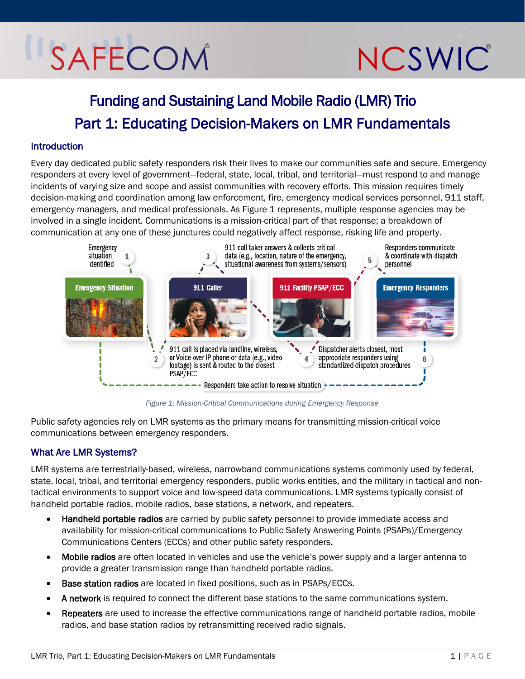## SAFECOM

# NCSWIC

### Funding and Sustaining Land Mobile Radio (LMR) Trio Part 1: Educating Decision-Makers on LMR Fundamentals

#### Introduction

Every day dedicated public safety responders risk their lives to make our communities safe and secure. Emergency responders at every level of government—federal, state, local, tribal, and territorial—must respond to and manage incidents of varying size and scope and assist communities with recovery efforts. This mission requires timely decision-making and coordination among law enforcement, fire, emergency medical services personnel, 911 staff, emergency managers, and medical professionals. As [Figure 1](#page-0-0) represents, multiple response agencies may be involved in a single incident. Communications is a mission-critical part of that response; a breakdown of communication at any one of these junctures could negatively affect response, risking life and property.



*Figure 1: Mission-Critical Communications during Emergency Response* 

<span id="page-0-0"></span>Public safety agencies rely on LMR systems as the primary means for transmitting mission-critical voice communications between emergency responders.

#### What Are LMR Systems?

LMR systems are terrestrially-based, wireless, narrowband communications systems commonly used by federal, state, local, tribal, and territorial emergency responders, public works entities, and the military in tactical and nontactical environments to support voice and low-speed data communications. LMR systems typically consist of handheld portable radios, mobile radios, base stations, a network, and repeaters.

- Handheld portable radios are carried by public safety personnel to provide immediate access and availability for mission-critical communications to Public Safety Answering Points (PSAPs)/Emergency Communications Centers (ECCs) and other public safety responders.
- Mobile radios are often located in vehicles and use the vehicle's power supply and a larger antenna to provide a greater transmission range than handheld portable radios.
- **Base station radios** are located in fixed positions, such as in PSAPs/ECCs.
- A network is required to connect the different base stations to the same communications system.
- Repeaters are used to increase the effective communications range of handheld portable radios, mobile radios, and base station radios by retransmitting received radio signals.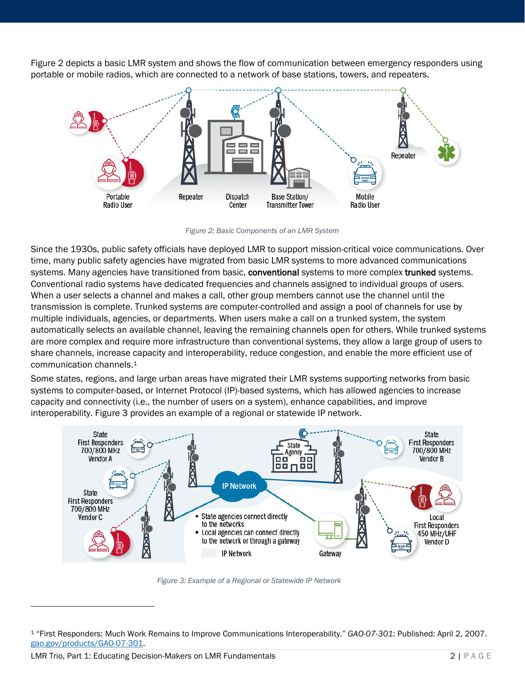[Figure 2](#page-1-0) depicts a basic LMR system and shows the flow of communication between emergency responders using portable or mobile radios, which are connected to a network of base stations, towers, and repeaters.



*Figure 2: Basic Components of an LMR System*

<span id="page-1-0"></span>Since the 1930s, public safety officials have deployed LMR to support mission-critical voice communications. Over time, many public safety agencies have migrated from basic LMR systems to more advanced communications systems. Many agencies have transitioned from basic, conventional systems to more complex trunked systems. Conventional radio systems have dedicated frequencies and channels assigned to individual groups of users. When a user selects a channel and makes a call, other group members cannot use the channel until the transmission is complete. Trunked systems are computer-controlled and assign a pool of channels for use by multiple individuals, agencies, or departments. When users make a call on a trunked system, the system automatically selects an available channel, leaving the remaining channels open for others. While trunked systems are more complex and require more infrastructure than conventional systems, they allow a large group of users to share channels, increase capacity and interoperability, reduce congestion, and enable the more efficient use of communication channels.[1](#page-1-2)

Some states, regions, and large urban areas have migrated their LMR systems supporting networks from basic systems to computer-based, or Internet Protocol (IP)-based systems, which has allowed agencies to increase capacity and connectivity (i.e., the number of users on a system), enhance capabilities, and improve interoperability. [Figure 3](#page-1-1) provides an example of a regional or statewide IP network.



*Figure 3: Example of a Regional or Statewide IP Network*

<span id="page-1-2"></span><span id="page-1-1"></span><sup>1</sup> "First Responders: Much Work Remains to Improve Communications Interoperability." *GAO-07-301*: Published: April 2, 2007. [gao.gov/products/GAO-07-301.](https://www.gao.gov/products/GAO-07-301)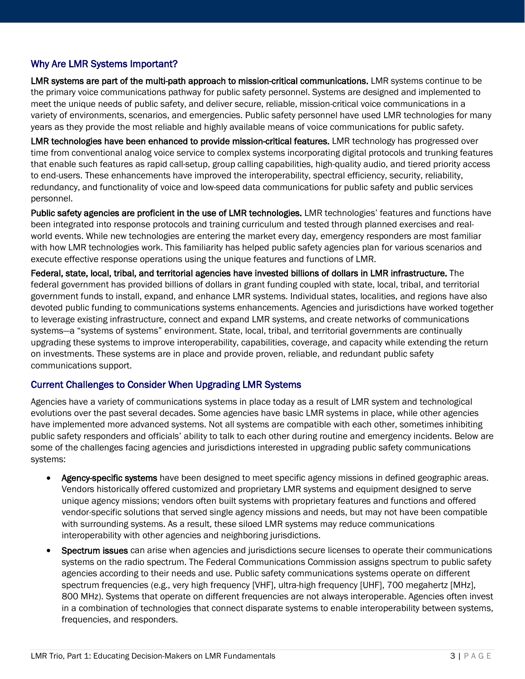#### Why Are LMR Systems Important?

LMR systems are part of the multi-path approach to mission-critical communications. LMR systems continue to be the primary voice communications pathway for public safety personnel. Systems are designed and implemented to meet the unique needs of public safety, and deliver secure, reliable, mission-critical voice communications in a variety of environments, scenarios, and emergencies. Public safety personnel have used LMR technologies for many years as they provide the most reliable and highly available means of voice communications for public safety.

LMR technologies have been enhanced to provide mission-critical features. LMR technology has progressed over time from conventional analog voice service to complex systems incorporating digital protocols and trunking features that enable such features as rapid call-setup, group calling capabilities, high-quality audio, and tiered priority access to end-users. These enhancements have improved the interoperability, spectral efficiency, security, reliability, redundancy, and functionality of voice and low-speed data communications for public safety and public services personnel.

Public safety agencies are proficient in the use of LMR technologies. LMR technologies' features and functions have been integrated into response protocols and training curriculum and tested through planned exercises and realworld events. While new technologies are entering the market every day, emergency responders are most familiar with how LMR technologies work. This familiarity has helped public safety agencies plan for various scenarios and execute effective response operations using the unique features and functions of LMR.

Federal, state, local, tribal, and territorial agencies have invested billions of dollars in LMR infrastructure. The federal government has provided billions of dollars in grant funding coupled with state, local, tribal, and territorial government funds to install, expand, and enhance LMR systems. Individual states, localities, and regions have also devoted public funding to communications systems enhancements. Agencies and jurisdictions have worked together to leverage existing infrastructure, connect and expand LMR systems, and create networks of communications systems—a "systems of systems" environment. State, local, tribal, and territorial governments are continually upgrading these systems to improve interoperability, capabilities, coverage, and capacity while extending the return on investments. These systems are in place and provide proven, reliable, and redundant public safety communications support.

#### Current Challenges to Consider When Upgrading LMR Systems

Agencies have a variety of communications systems in place today as a result of LMR system and technological evolutions over the past several decades. Some agencies have basic LMR systems in place, while other agencies have implemented more advanced systems. Not all systems are compatible with each other, sometimes inhibiting public safety responders and officials' ability to talk to each other during routine and emergency incidents. Below are some of the challenges facing agencies and jurisdictions interested in upgrading public safety communications systems:

- Agency-specific systems have been designed to meet specific agency missions in defined geographic areas. Vendors historically offered customized and proprietary LMR systems and equipment designed to serve unique agency missions; vendors often built systems with proprietary features and functions and offered vendor-specific solutions that served single agency missions and needs, but may not have been compatible with surrounding systems. As a result, these siloed LMR systems may reduce communications interoperability with other agencies and neighboring jurisdictions.
- Spectrum issues can arise when agencies and jurisdictions secure licenses to operate their communications systems on the radio spectrum. The Federal Communications Commission assigns spectrum to public safety agencies according to their needs and use. Public safety communications systems operate on different spectrum frequencies (e.g., very high frequency [VHF], ultra-high frequency [UHF], 700 megahertz [MHz], 800 MHz). Systems that operate on different frequencies are not always interoperable. Agencies often invest in a combination of technologies that connect disparate systems to enable interoperability between systems, frequencies, and responders.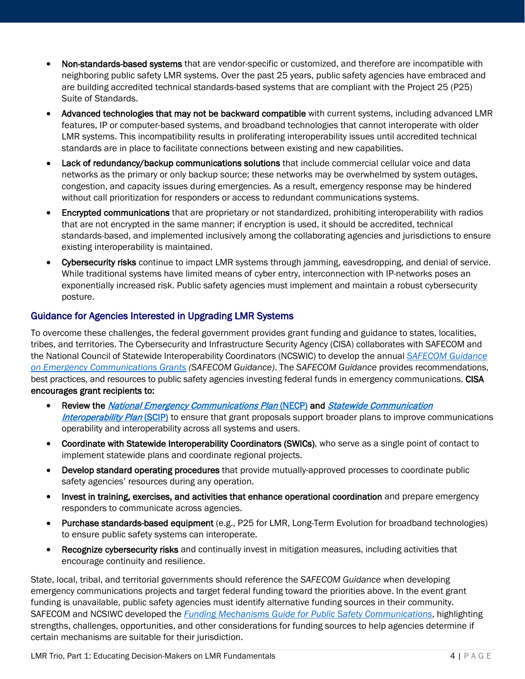- Non-standards-based systems that are vendor-specific or customized, and therefore are incompatible with neighboring public safety LMR systems. Over the past 25 years, public safety agencies have embraced and are building accredited technical standards-based systems that are compliant with the Project 25 (P25) Suite of Standards.
- Advanced technologies that may not be backward compatible with current systems, including advanced LMR features, IP or computer-based systems, and broadband technologies that cannot interoperate with older LMR systems. This incompatibility results in proliferating interoperability issues until accredited technical standards are in place to facilitate connections between existing and new capabilities.
- Lack of redundancy/backup communications solutions that include commercial cellular voice and data networks as the primary or only backup source; these networks may be overwhelmed by system outages, congestion, and capacity issues during emergencies. As a result, emergency response may be hindered without call prioritization for responders or access to redundant communications systems.
- Encrypted communications that are proprietary or not standardized, prohibiting interoperability with radios that are not encrypted in the same manner; if encryption is used, it should be accredited, technical standards-based, and implemented inclusively among the collaborating agencies and jurisdictions to ensure existing interoperability is maintained.
- Cybersecurity risks continue to impact LMR systems through jamming, eavesdropping, and denial of service. While traditional systems have limited means of cyber entry, interconnection with IP-networks poses an exponentially increased risk. Public safety agencies must implement and maintain a robust cybersecurity posture.

#### Guidance for Agencies Interested in Upgrading LMR Systems

To overcome these challenges, the federal government provides grant funding and guidance to states, localities, tribes, and territories. The Cybersecurity and Infrastructure Security Agency (CISA) collaborates with SAFECOM and the National Council of Statewide Interoperability Coordinators (NCSWIC) to develop the annual *[SAFECOM Guidance](https://www.cisa.gov/safecom/funding)  [on Emergency Communications Grants](https://www.cisa.gov/safecom/funding) (SAFECOM Guidance)*. The *SAFECOM Guidance* provides recommendations, best practices, and resources to public safety agencies investing federal funds in emergency communications. CISA encourages grant recipients to:

- Review the [National Emergency Communications Plan](https://www.cisa.gov/necp) (NECP) and Statewide Communication [Interoperability Plan](https://www.cisa.gov/statewide-communication-interoperability-plans) (SCIP) to ensure that grant proposals support broader plans to improve communications operability and interoperability across all systems and users.
- Coordinate with Statewide Interoperability Coordinators (SWICs), who serve as a single point of contact to implement statewide plans and coordinate regional projects.
- Develop standard operating procedures that provide mutually-approved processes to coordinate public safety agencies' resources during any operation.
- Invest in training, exercises, and activities that enhance operational coordination and prepare emergency responders to communicate across agencies.
- Purchase standards-based equipment (e.g., P25 for LMR, Long-Term Evolution for broadband technologies) to ensure public safety systems can interoperate.
- Recognize cybersecurity risks and continually invest in mitigation measures, including activities that encourage continuity and resilience.

State, local, tribal, and territorial governments should reference the *SAFECOM Guidance* when developing emergency communications projects and target federal funding toward the priorities above. In the event grant funding is unavailable, public safety agencies must identify alternative funding sources in their community. SAFECOM and NCSIWC developed the *[Funding Mechanisms Guide for Public Safety Communications](https://www.cisa.gov/safecom/funding)*, highlighting strengths, challenges, opportunities, and other considerations for funding sources to help agencies determine if certain mechanisms are suitable for their jurisdiction.